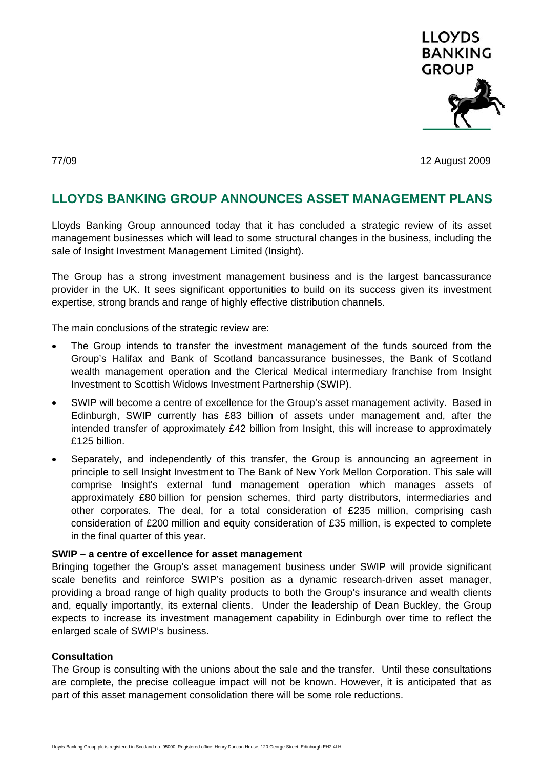

77/09 12 August 2009

# **LLOYDS BANKING GROUP ANNOUNCES ASSET MANAGEMENT PLANS**

Lloyds Banking Group announced today that it has concluded a strategic review of its asset management businesses which will lead to some structural changes in the business, including the sale of Insight Investment Management Limited (Insight).

The Group has a strong investment management business and is the largest bancassurance provider in the UK. It sees significant opportunities to build on its success given its investment expertise, strong brands and range of highly effective distribution channels.

The main conclusions of the strategic review are:

- The Group intends to transfer the investment management of the funds sourced from the Group's Halifax and Bank of Scotland bancassurance businesses, the Bank of Scotland wealth management operation and the Clerical Medical intermediary franchise from Insight Investment to Scottish Widows Investment Partnership (SWIP).
- SWIP will become a centre of excellence for the Group's asset management activity. Based in Edinburgh, SWIP currently has £83 billion of assets under management and, after the intended transfer of approximately £42 billion from Insight, this will increase to approximately £125 billion.
- Separately, and independently of this transfer, the Group is announcing an agreement in principle to sell Insight Investment to The Bank of New York Mellon Corporation. This sale will comprise Insight's external fund management operation which manages assets of approximately £80 billion for pension schemes, third party distributors, intermediaries and other corporates. The deal, for a total consideration of £235 million, comprising cash consideration of £200 million and equity consideration of £35 million, is expected to complete in the final quarter of this year.

## **SWIP – a centre of excellence for asset management**

Bringing together the Group's asset management business under SWIP will provide significant scale benefits and reinforce SWIP's position as a dynamic research-driven asset manager, providing a broad range of high quality products to both the Group's insurance and wealth clients and, equally importantly, its external clients. Under the leadership of Dean Buckley, the Group expects to increase its investment management capability in Edinburgh over time to reflect the enlarged scale of SWIP's business.

## **Consultation**

The Group is consulting with the unions about the sale and the transfer. Until these consultations are complete, the precise colleague impact will not be known. However, it is anticipated that as part of this asset management consolidation there will be some role reductions.